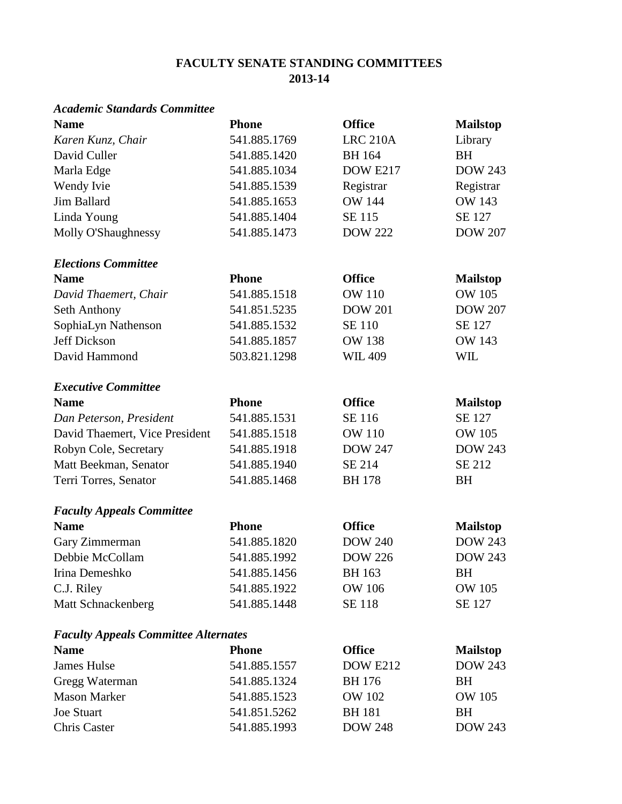# **FACULTY SENATE STANDING COMMITTEES 2013-14**

### *Academic Standards Committee*

| <b>Name</b>                                 | <b>Phone</b> | <b>Office</b>   | <b>Mailstop</b> |
|---------------------------------------------|--------------|-----------------|-----------------|
| Karen Kunz, Chair                           | 541.885.1769 | <b>LRC 210A</b> | Library         |
| David Culler                                | 541.885.1420 | <b>BH</b> 164   | <b>BH</b>       |
| Marla Edge                                  | 541.885.1034 | DOW E217        | <b>DOW 243</b>  |
| Wendy Ivie                                  | 541.885.1539 | Registrar       | Registrar       |
| Jim Ballard                                 | 541.885.1653 | <b>OW 144</b>   | <b>OW 143</b>   |
| Linda Young                                 | 541.885.1404 | SE 115          | SE 127          |
| Molly O'Shaughnessy                         | 541.885.1473 | <b>DOW 222</b>  | <b>DOW 207</b>  |
| <b>Elections Committee</b>                  |              |                 |                 |
| <b>Name</b>                                 | <b>Phone</b> | <b>Office</b>   | <b>Mailstop</b> |
| David Thaemert, Chair                       | 541.885.1518 | <b>OW 110</b>   | <b>OW 105</b>   |
| Seth Anthony                                | 541.851.5235 | <b>DOW 201</b>  | <b>DOW 207</b>  |
| SophiaLyn Nathenson                         | 541.885.1532 | <b>SE 110</b>   | <b>SE 127</b>   |
| Jeff Dickson                                | 541.885.1857 | <b>OW 138</b>   | <b>OW 143</b>   |
| David Hammond                               | 503.821.1298 | <b>WIL409</b>   | <b>WIL</b>      |
| <b>Executive Committee</b>                  |              |                 |                 |
| <b>Name</b>                                 | <b>Phone</b> | <b>Office</b>   | <b>Mailstop</b> |
| Dan Peterson, President                     | 541.885.1531 | SE 116          | SE 127          |
| David Thaemert, Vice President              | 541.885.1518 | <b>OW 110</b>   | <b>OW 105</b>   |
| Robyn Cole, Secretary                       | 541.885.1918 | <b>DOW 247</b>  | <b>DOW 243</b>  |
| Matt Beekman, Senator                       | 541.885.1940 | SE 214          | SE 212          |
| Terri Torres, Senator                       | 541.885.1468 | <b>BH</b> 178   | <b>BH</b>       |
| <b>Faculty Appeals Committee</b>            |              |                 |                 |
| <b>Name</b>                                 | <b>Phone</b> | <b>Office</b>   | <b>Mailstop</b> |
| Gary Zimmerman                              | 541.885.1820 | <b>DOW 240</b>  | <b>DOW 243</b>  |
| Debbie McCollam                             | 541.885.1992 | <b>DOW 226</b>  | <b>DOW 243</b>  |
| Irina Demeshko                              | 541.885.1456 | <b>BH</b> 163   | BH              |
| C.J. Riley                                  | 541.885.1922 | <b>OW 106</b>   | <b>OW 105</b>   |
| Matt Schnackenberg                          | 541.885.1448 | <b>SE 118</b>   | SE 127          |
| <b>Faculty Appeals Committee Alternates</b> |              |                 |                 |
| <b>Name</b>                                 | <b>Phone</b> | <b>Office</b>   | <b>Mailstop</b> |
| <b>James Hulse</b>                          | 541.885.1557 | <b>DOW E212</b> | <b>DOW 243</b>  |
| Gregg Waterman                              | 541.885.1324 | <b>BH</b> 176   | BH              |
| <b>Mason Marker</b>                         | 541.885.1523 | <b>OW 102</b>   | <b>OW 105</b>   |
| <b>Joe Stuart</b>                           | 541.851.5262 | <b>BH</b> 181   | <b>BH</b>       |
| <b>Chris Caster</b>                         | 541.885.1993 | <b>DOW 248</b>  | <b>DOW 243</b>  |